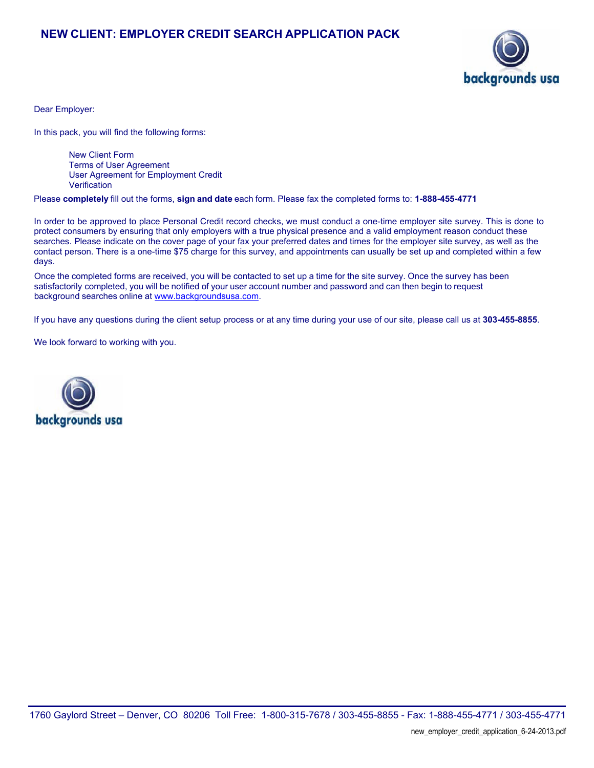# **NEW CLIENT: EMPLOYER CREDIT SEARCH APPLICATION PACK**



Dear Employer:

In this pack, you will find the following forms:

New Client Form Terms of User Agreement User Agreement for Employment Credit **Verification** 

Please **completely** fill out the forms, **sign and date** each form. Please fax the completed forms to: **1-888-455-4771**

In order to be approved to place Personal Credit record checks, we must conduct a one-time employer site survey. This is done to protect consumers by ensuring that only employers with a true physical presence and a valid employment reason conduct these searches. Please indicate on the cover page of your fax your preferred dates and times for the employer site survey, as well as the contact person. There is a one-time \$75 charge for this survey, and appointments can usually be set up and completed within a few days.

Once the completed forms are received, you will be contacted to set up a time for the site survey. Once the survey has been satisfactorily completed, you will be notified of your user account number and password and can then begin to request [background searches onl](http://www.backgroundsusa.com)ine at www.backgroundsusa.com.

If you have any questions during the client setup process or at any time during your use of our site, please call us at **303-455-8855**.

We look forward to working with you.

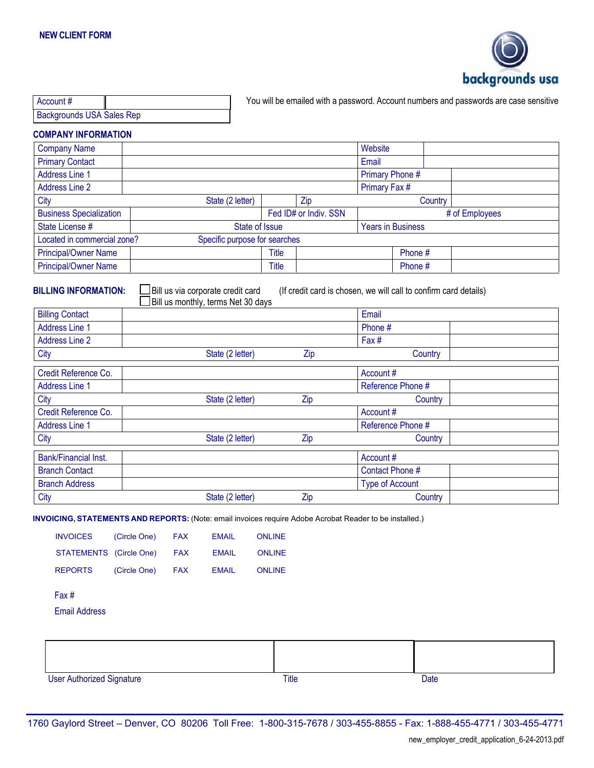

| Account #                        |  |
|----------------------------------|--|
| <b>Backgrounds USA Sales Rep</b> |  |

You will be emailed with a password. Account numbers and passwords are case sensitive

## **COMPANY INFORMATION**

| <b>Company Name</b>                                          |                  |                |                       | Website                  |         |                |
|--------------------------------------------------------------|------------------|----------------|-----------------------|--------------------------|---------|----------------|
| <b>Primary Contact</b>                                       |                  |                |                       | Email                    |         |                |
| <b>Address Line 1</b>                                        |                  |                |                       | Primary Phone #          |         |                |
| <b>Address Line 2</b>                                        |                  |                |                       | Primary Fax #            |         |                |
| City                                                         | State (2 letter) |                | Zip                   |                          | Country |                |
| <b>Business Specialization</b>                               |                  |                | Fed ID# or Indiv. SSN |                          |         | # of Employees |
| State License #                                              |                  | State of Issue |                       | <b>Years in Business</b> |         |                |
| Located in commercial zone?<br>Specific purpose for searches |                  |                |                       |                          |         |                |
| <b>Principal/Owner Name</b>                                  |                  | Title          |                       | Phone #                  |         |                |
| Principal/Owner Name                                         |                  | Title          |                       | Phone #                  |         |                |

 $\Box$  Bill us via corporate credit card<br> $\Box$  Bill us monthly, terms Net 30 days

**BILLING INFORMATION:**  $\Box$  Bill us via corporate credit card (If credit card is chosen, we will call to confirm card details)

|                        | <b>Let but us monumy, terms ivet 50 days</b> |     | Email                  |  |
|------------------------|----------------------------------------------|-----|------------------------|--|
| <b>Billing Contact</b> |                                              |     |                        |  |
| <b>Address Line 1</b>  |                                              |     | Phone #                |  |
| <b>Address Line 2</b>  |                                              |     | Fax#                   |  |
| City                   | State (2 letter)                             | Zip | Country                |  |
| Credit Reference Co.   |                                              |     | Account #              |  |
| <b>Address Line 1</b>  |                                              |     | Reference Phone #      |  |
| City                   | State (2 letter)                             | Zip | Country                |  |
| Credit Reference Co.   |                                              |     | Account #              |  |
| <b>Address Line 1</b>  |                                              |     | Reference Phone #      |  |
| City                   | State (2 letter)                             | Zip | Country                |  |
| Bank/Financial Inst.   |                                              |     | Account#               |  |
| <b>Branch Contact</b>  |                                              |     | Contact Phone #        |  |
| <b>Branch Address</b>  |                                              |     | <b>Type of Account</b> |  |
| <b>City</b>            | State (2 letter)                             | Zip | Country                |  |

**INVOICING, STATEMENTS AND REPORTS:** (Note: email invoices require Adobe Acrobat Reader to be installed.)

| <b>INVOICES</b>                  | (Circle One) | <b>FAX</b> | <b>EMAIL</b> | <b>ONLINE</b> |  |      |  |
|----------------------------------|--------------|------------|--------------|---------------|--|------|--|
| STATEMENTS (Circle One)          |              | <b>FAX</b> | <b>EMAIL</b> | <b>ONLINE</b> |  |      |  |
| <b>REPORTS</b>                   | (Circle One) | <b>FAX</b> | <b>EMAIL</b> | <b>ONLINE</b> |  |      |  |
| Fax#                             |              |            |              |               |  |      |  |
| <b>Email Address</b>             |              |            |              |               |  |      |  |
|                                  |              |            |              |               |  |      |  |
|                                  |              |            |              |               |  |      |  |
|                                  |              |            |              |               |  |      |  |
| <b>User Authorized Signature</b> |              |            |              | <b>Title</b>  |  | Date |  |

1760 Gaylord Street – Denver, CO 80206 Toll Free: 1-800-315-7678 / 303-455-8855 - Fax: 1-888-455-4771 / 303-455-4771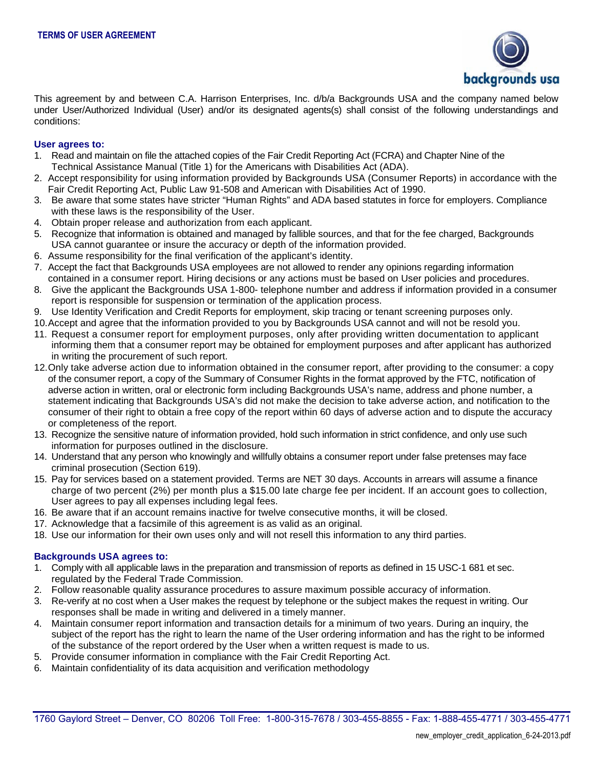

This agreement by and between C.A. Harrison Enterprises, Inc. d/b/a Backgrounds USA and the company named below under User/Authorized Individual (User) and/or its designated agents(s) shall consist of the following understandings and conditions:

### **User agrees to:**

- 1. Read and maintain on file the attached copies of the Fair Credit Reporting Act (FCRA) and Chapter Nine of the Technical Assistance Manual (Title 1) for the Americans with Disabilities Act (ADA).
- 2. Accept responsibility for using information provided by Backgrounds USA (Consumer Reports) in accordance with the Fair Credit Reporting Act, Public Law 91-508 and American with Disabilities Act of 1990.
- 3. Be aware that some states have stricter "Human Rights" and ADA based statutes in force for employers. Compliance with these laws is the responsibility of the User.
- 4. Obtain proper release and authorization from each applicant.
- 5. Recognize that information is obtained and managed by fallible sources, and that for the fee charged, Backgrounds USA cannot guarantee or insure the accuracy or depth of the information provided.
- 6. Assume responsibility for the final verification of the applicant's identity.
- 7. Accept the fact that Backgrounds USA employees are not allowed to render any opinions regarding information contained in a consumer report. Hiring decisions or any actions must be based on User policies and procedures.
- 8. Give the applicant the Backgrounds USA 1-800- telephone number and address if information provided in a consumer report is responsible for suspension or termination of the application process.
- 9. Use Identity Verification and Credit Reports for employment, skip tracing or tenant screening purposes only.
- 10.Accept and agree that the information provided to you by Backgrounds USA cannot and will not be resold you.
- 11. Request a consumer report for employment purposes, only after providing written documentation to applicant informing them that a consumer report may be obtained for employment purposes and after applicant has authorized in writing the procurement of such report.
- 12.Only take adverse action due to information obtained in the consumer report, after providing to the consumer: a copy of the consumer report, a copy of the Summary of Consumer Rights in the format approved by the FTC, notification of adverse action in written, oral or electronic form including Backgrounds USA's name, address and phone number, a statement indicating that Backgrounds USA's did not make the decision to take adverse action, and notification to the consumer of their right to obtain a free copy of the report within 60 days of adverse action and to dispute the accuracy or completeness of the report.
- 13. Recognize the sensitive nature of information provided, hold such information in strict confidence, and only use such information for purposes outlined in the disclosure.
- 14. Understand that any person who knowingly and willfully obtains a consumer report under false pretenses may face criminal prosecution (Section 619).
- 15. Pay for services based on a statement provided. Terms are NET 30 days. Accounts in arrears will assume a finance charge of two percent (2%) per month plus a \$15.00 late charge fee per incident. If an account goes to collection, User agrees to pay all expenses including legal fees.
- 16. Be aware that if an account remains inactive for twelve consecutive months, it will be closed.
- 17. Acknowledge that a facsimile of this agreement is as valid as an original.
- 18. Use our information for their own uses only and will not resell this information to any third parties.

#### **Backgrounds USA agrees to:**

- 1. Comply with all applicable laws in the preparation and transmission of reports as defined in 15 USC-1 681 et sec. regulated by the Federal Trade Commission.
- 2. Follow reasonable quality assurance procedures to assure maximum possible accuracy of information.
- 3. Re-verify at no cost when a User makes the request by telephone or the subject makes the request in writing. Our responses shall be made in writing and delivered in a timely manner.
- 4. Maintain consumer report information and transaction details for a minimum of two years. During an inquiry, the subject of the report has the right to learn the name of the User ordering information and has the right to be informed of the substance of the report ordered by the User when a written request is made to us.
- 5. Provide consumer information in compliance with the Fair Credit Reporting Act.
- 6. Maintain confidentiality of its data acquisition and verification methodology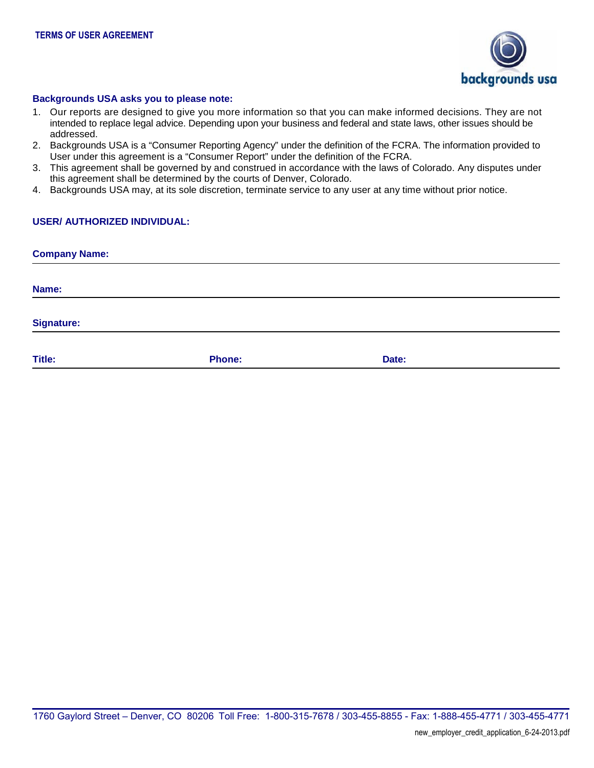

#### **Backgrounds USA asks you to please note:**

- 1. Our reports are designed to give you more information so that you can make informed decisions. They are not intended to replace legal advice. Depending upon your business and federal and state laws, other issues should be addressed.
- 2. Backgrounds USA is a "Consumer Reporting Agency" under the definition of the FCRA. The information provided to User under this agreement is a "Consumer Report" under the definition of the FCRA.
- 3. This agreement shall be governed by and construed in accordance with the laws of Colorado. Any disputes under this agreement shall be determined by the courts of Denver, Colorado.
- 4. Backgrounds USA may, at its sole discretion, terminate service to any user at any time without prior notice.

# **USER/ AUTHORIZED INDIVIDUAL:**

| <b>Company Name:</b> |               |       |  |  |  |  |  |
|----------------------|---------------|-------|--|--|--|--|--|
| Name:                |               |       |  |  |  |  |  |
|                      |               |       |  |  |  |  |  |
| <b>Signature:</b>    |               |       |  |  |  |  |  |
| Title:               | <b>Phone:</b> | Date: |  |  |  |  |  |